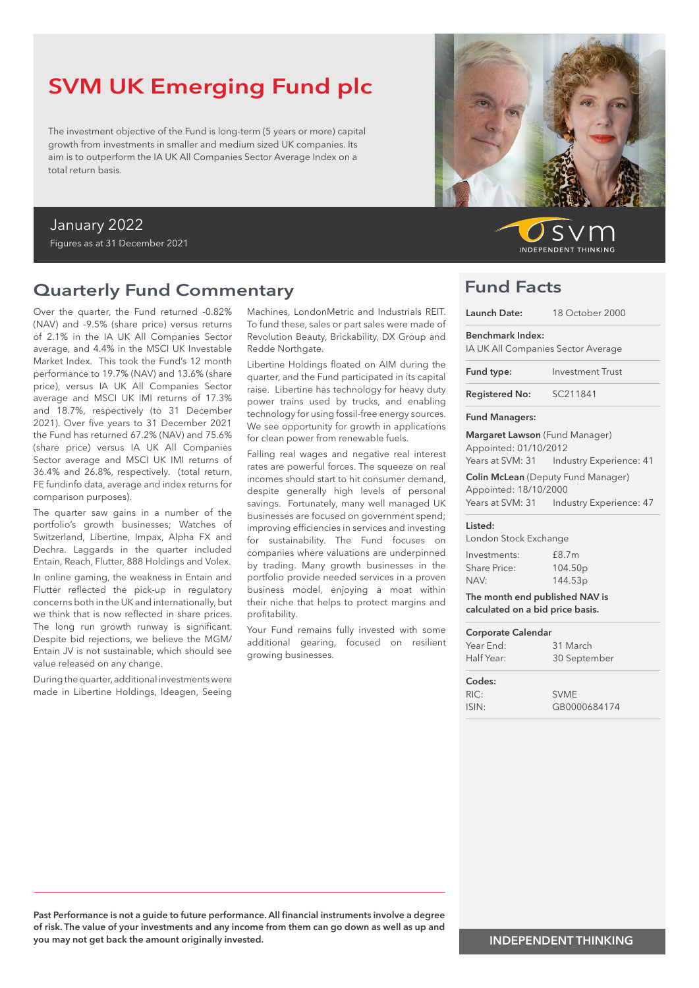# SVM UK Emerging Fund plc

The investment objective of the Fund is long-term (5 years or more) capital growth from investments in smaller and medium sized UK companies. Its aim is to outperform the IA UK All Companies Sector Average Index on a total return basis.

### January 2022 Figures as at 31 December 2021

### Quarterly Fund Commentary

Over the quarter, the Fund returned -0.82% (NAV) and -9.5% (share price) versus returns of 2.1% in the IA UK All Companies Sector average, and 4.4% in the MSCI UK Investable Market Index. This took the Fund's 12 month performance to 19.7% (NAV) and 13.6% (share price), versus IA UK All Companies Sector average and MSCI UK IMI returns of 17.3% and 18.7%, respectively (to 31 December 2021). Over five years to 31 December 2021 the Fund has returned 67.2% (NAV) and 75.6% (share price) versus IA UK All Companies Sector average and MSCI UK IMI returns of 36.4% and 26.8%, respectively. (total return, FE fundinfo data, average and index returns for comparison purposes).

The quarter saw gains in a number of the portfolio's growth businesses; Watches of Switzerland, Libertine, Impax, Alpha FX and Dechra. Laggards in the quarter included Entain, Reach, Flutter, 888 Holdings and Volex.

In online gaming, the weakness in Entain and Flutter reflected the pick-up in regulatory concerns both in the UK and internationally, but we think that is now reflected in share prices. The long run growth runway is significant. Despite bid rejections, we believe the MGM/ Entain JV is not sustainable, which should see value released on any change.

During the quarter, additional investments were made in Libertine Holdings, Ideagen, Seeing Machines, LondonMetric and Industrials REIT. To fund these, sales or part sales were made of Revolution Beauty, Brickability, DX Group and Redde Northgate.

Libertine Holdings floated on AIM during the quarter, and the Fund participated in its capital raise. Libertine has technology for heavy duty power trains used by trucks, and enabling technology for using fossil-free energy sources. We see opportunity for growth in applications for clean power from renewable fuels.

Falling real wages and negative real interest rates are powerful forces. The squeeze on real incomes should start to hit consumer demand, despite generally high levels of personal savings. Fortunately, many well managed UK businesses are focused on government spend; improving efficiencies in services and investing for sustainability. The Fund focuses on companies where valuations are underpinned by trading. Many growth businesses in the portfolio provide needed services in a proven business model, enjoying a moat within their niche that helps to protect margins and profitability.

Your Fund remains fully invested with some additional gearing, focused on resilient growing businesses.



 $S$ **INDEPENDENT THINKING** 

### Fund Facts

| Launch Date:                                                   | 18 October 2000                             |  |  |
|----------------------------------------------------------------|---------------------------------------------|--|--|
| Benchmark Index:                                               | IA UK All Companies Sector Average          |  |  |
| Fund type:                                                     | <b>Investment Trust</b>                     |  |  |
| SC211841<br><b>Registered No:</b>                              |                                             |  |  |
| <b>Fund Managers:</b>                                          |                                             |  |  |
| <b>Margaret Lawson</b> (Fund Manager)<br>Appointed: 01/10/2012 | Years at SVM: 31    Industry Experience: 41 |  |  |
| Appointed: 18/10/2000                                          | <b>Colin McLean</b> (Deputy Fund Manager)   |  |  |
|                                                                | Years at SVM: 31    Industry Experience: 47 |  |  |
| Listed:<br>London Stock Exchange                               |                                             |  |  |
| Investments:<br><b>Share Price:</b><br>NAV:                    | £8.7m<br>104.50 <sub>p</sub><br>144.53p     |  |  |
| The month end published NAV is                                 |                                             |  |  |

| calculated on a bid price basis. |              |  |  |  |
|----------------------------------|--------------|--|--|--|
| Corporate Calendar               |              |  |  |  |
| Year Fnd:                        | 31 March     |  |  |  |
| Half Year:                       | 30 September |  |  |  |
| Codes:                           |              |  |  |  |
| RIC.                             |              |  |  |  |

ISIN: GB0000684174

Past Performance is not a guide to future performance. All financial instruments involve a degree of risk. The value of your investments and any income from them can go down as well as up and you may not get back the amount originally invested.